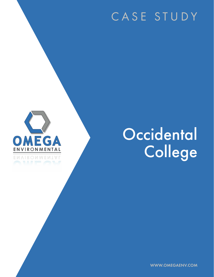# CASE STUDY



# **Occidental** College

WWW.OMEGAENV.COM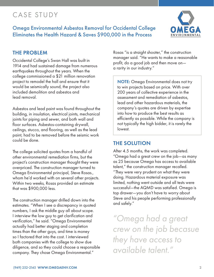## CASE STUDY

Omega Environmental Asbestos Removal for Occidental College Eliminates the Health Hazard & Saves \$900,000 in the Process



#### THE PROBLEM

Occidental College's Swan Hall was built in 1914 and had sustained damage from numerous earthquakes throughout the years. When the college commissioned a \$21 million renovation project to remodel the hall and ensure that it would be seismically sound, the project also included demolition and asbestos and lead removal.

Asbestos and lead paint was found throughout the building, in insulation, electrical joints, mechanical joints for piping and sewer, and both wall and floor surfaces. Asbestos-containing drywall, ceilings, stucco, and flooring, as well as the lead paint, had to be removed before the seismic work could be done.

The college solicited quotes from a handful of other environmental remediation firms, but the project's construction manager thought they were overpriced. The construction manager turned to Omega Environmental principal, Steve Rosas., whom he'd worked with on several other projects. Within two weeks, Rosas provided an estimate that was \$900,000 less.

The construction manager drilled down into the estimates. "When I see a discrepancy in quoted numbers, I ask the middle guy all about scope. I interview the low guy to get clarification and verification," he said. "Omega Environmental actually had better staging and completion times than the other guys, and time is money so I factored that into the cost. I interviewed both companies with the college to show due diligence, and so they could choose a responsible company. They chose Omega Environmental."

Rosas "is a straight shooter," the construction manager said. "He wants to make a reasonable profit, do a good job and then move on a rarity in our industry."

**NOTE:** Omega Environmental does not try to win projects based on price. With over 200 years of collective experience in the assessment and remediation of asbestos, lead and other hazardous materials, the company's quotes are driven by expertise into how to produce the best results as efficiently as possible. While the company is not typically the high bidder, it is rarely the lowest.

#### THE SOLUTION

After 4.5 months, the work was completed. "Omega had a great crew on the job—as many as 25 because Omega has access to available talent," the construction manager recalled. "They were very prudent on what they were doing. Hazardous material exposure was limited, nothing went outside and all tests were successful—the AQMD was satisfied. Omega is top drawer—you don't have to worry about Steve and his people performing professionally and safely."

*"Omega had a great crew on the job becasue they have access to available talent."*